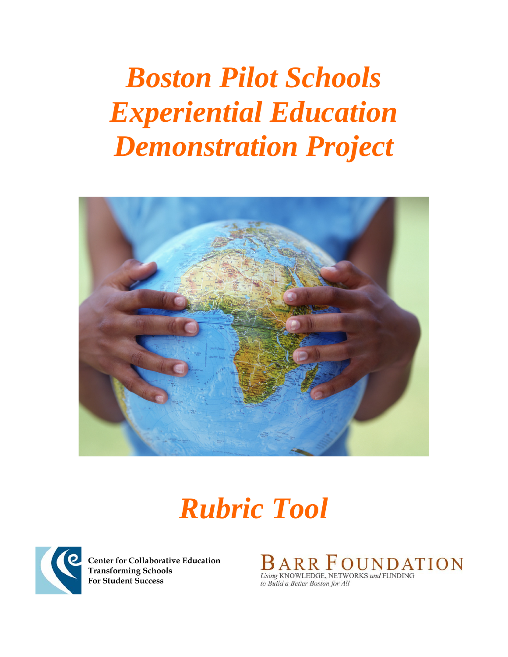# *Boston Pilot Schools Experiential Education Demonstration Project*



*Rubric Tool* 



**Center for Collaborative Education Transforming Schools For Student Success** 

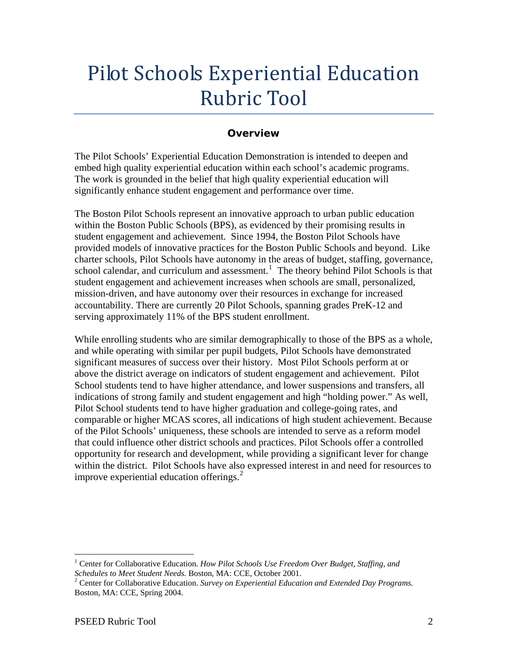# Pilot Schools Experiential Education Rubric Tool

# **Overview**

The Pilot Schools' Experiential Education Demonstration is intended to deepen and embed high quality experiential education within each school's academic programs. The work is grounded in the belief that high quality experiential education will significantly enhance student engagement and performance over time.

The Boston Pilot Schools represent an innovative approach to urban public education within the Boston Public Schools (BPS), as evidenced by their promising results in student engagement and achievement. Since 1994, the Boston Pilot Schools have provided models of innovative practices for the Boston Public Schools and beyond. Like charter schools, Pilot Schools have autonomy in the areas of budget, staffing, governance, school calendar, and curriculum and assessment.<sup>[1](#page-1-0)</sup> The theory behind Pilot Schools is that student engagement and achievement increases when schools are small, personalized, mission-driven, and have autonomy over their resources in exchange for increased accountability. There are currently 20 Pilot Schools, spanning grades PreK-12 and serving approximately 11% of the BPS student enrollment.

While enrolling students who are similar demographically to those of the BPS as a whole, and while operating with similar per pupil budgets, Pilot Schools have demonstrated significant measures of success over their history. Most Pilot Schools perform at or above the district average on indicators of student engagement and achievement. Pilot School students tend to have higher attendance, and lower suspensions and transfers, all indications of strong family and student engagement and high "holding power." As well, Pilot School students tend to have higher graduation and college-going rates, and comparable or higher MCAS scores, all indications of high student achievement. Because of the Pilot Schools' uniqueness, these schools are intended to serve as a reform model that could influence other district schools and practices. Pilot Schools offer a controlled opportunity for research and development, while providing a significant lever for change within the district. Pilot Schools have also expressed interest in and need for resources to improve experiential education offerings. $<sup>2</sup>$  $<sup>2</sup>$  $<sup>2</sup>$ </sup>

 $\overline{a}$ 

<span id="page-1-0"></span><sup>&</sup>lt;sup>1</sup> Center for Collaborative Education. *How Pilot Schools Use Freedom Over Budget, Staffing, and Schedules to Meet Student Needs. Boston, MA: CCE, October 2001.* 

<span id="page-1-1"></span>Center for Collaborative Education. *Survey on Experiential Education and Extended Day Programs.*  Boston, MA: CCE, Spring 2004.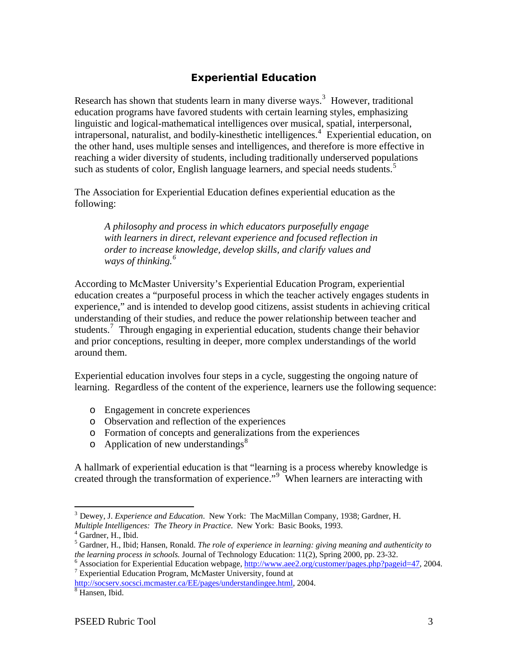# **Experiential Education**

Research has shown that students learn in many diverse ways.<sup>[3](#page-2-0)</sup> However, traditional education programs have favored students with certain learning styles, emphasizing linguistic and logical-mathematical intelligences over musical, spatial, interpersonal, intrapersonal, naturalist, and bodily-kinesthetic intelligences.<sup>[4](#page-2-1)</sup> Experiential education, on the other hand, uses multiple senses and intelligences, and therefore is more effective in reaching a wider diversity of students, including traditionally underserved populations such as students of color, English language learners, and special needs students.<sup>[5](#page-2-2)</sup>

The Association for Experiential Education defines experiential education as the following:

*A philosophy and process in which educators purposefully engage with learners in direct, relevant experience and focused reflection in order to increase knowledge, develop skills, and clarify values and ways of thinking.[6](#page-2-3)* 

According to McMaster University's Experiential Education Program, experiential education creates a "purposeful process in which the teacher actively engages students in experience," and is intended to develop good citizens, assist students in achieving critical understanding of their studies, and reduce the power relationship between teacher and students.<sup>[7](#page-2-4)</sup> Through engaging in experiential education, students change their behavior and prior conceptions, resulting in deeper, more complex understandings of the world around them.

Experiential education involves four steps in a cycle, suggesting the ongoing nature of learning. Regardless of the content of the experience, learners use the following sequence:

- o Engagement in concrete experiences
- o Observation and reflection of the experiences
- o Formation of concepts and generalizations from the experiences
- o Application of new understandings<sup>[8](#page-2-5)</sup>

A hallmark of experiential education is that "learning is a process whereby knowledge is created through the transformation of experience."[9](#page-2-3) When learners are interacting with

<span id="page-2-5"></span><span id="page-2-4"></span><http://socserv.socsci.mcmaster.ca/EE/pages/understandingee.html>, 2004. <sup>8</sup> Hansen, Ibid.

<span id="page-2-0"></span> $\overline{a}$ <sup>3</sup> Dewey, J. *Experience and Education*. New York: The MacMillan Company, 1938; Gardner, H. *Multiple Intelligences: The Theory in Practice*. New York: Basic Books, 1993. <sup>4</sup>

 $<sup>4</sup>$  Gardner, H., Ibid.</sup>

<span id="page-2-2"></span><span id="page-2-1"></span><sup>5</sup> Gardner, H., Ibid; Hansen, Ronald. *The role of experience in learning: giving meaning and authenticity to the learning process in schools.* Journal of Technology Education: 11(2), Spring 2000, pp. 23-32.

<span id="page-2-3"></span><sup>&</sup>lt;sup>6</sup> Association for Experiential Education webpage, [http://www.aee2.org/customer/pages.php?pageid=47,](http://www.aee2.org/customer/pages.php?pageid=47) 2004. Experiential Education Program, McMaster University, found at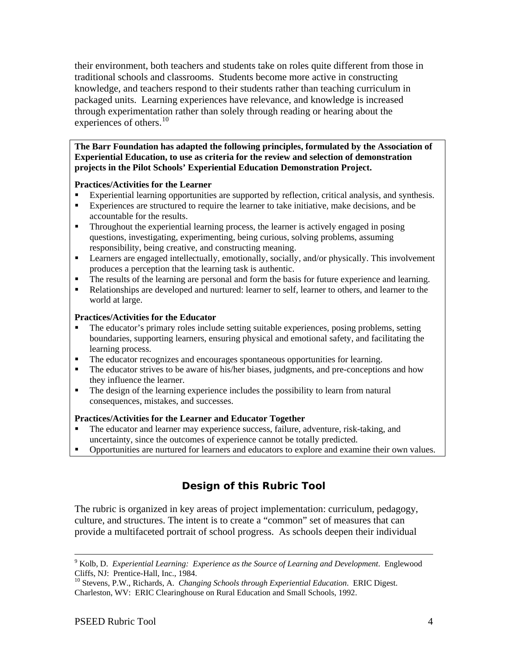their environment, both teachers and students take on roles quite different from those in traditional schools and classrooms. Students become more active in constructing knowledge, and teachers respond to their students rather than teaching curriculum in packaged units. Learning experiences have relevance, and knowledge is increased through experimentation rather than solely through reading or hearing about the experiences of others.<sup>[10](#page-3-0)</sup>

**The Barr Foundation has adapted the following principles, formulated by the Association of Experiential Education, to use as criteria for the review and selection of demonstration projects in the Pilot Schools' Experiential Education Demonstration Project.** 

#### **Practices/Activities for the Learner**

- Experiential learning opportunities are supported by reflection, critical analysis, and synthesis.
- Experiences are structured to require the learner to take initiative, make decisions, and be accountable for the results.
- Throughout the experiential learning process, the learner is actively engaged in posing questions, investigating, experimenting, being curious, solving problems, assuming responsibility, being creative, and constructing meaning.
- **Example 1** Learners are engaged intellectually, emotionally, socially, and/or physically. This involvement produces a perception that the learning task is authentic.
- The results of the learning are personal and form the basis for future experience and learning.
- Relationships are developed and nurtured: learner to self, learner to others, and learner to the world at large.

#### **Practices/Activities for the Educator**

- The educator's primary roles include setting suitable experiences, posing problems, setting boundaries, supporting learners, ensuring physical and emotional safety, and facilitating the learning process.
- The educator recognizes and encourages spontaneous opportunities for learning.
- The educator strives to be aware of his/her biases, judgments, and pre-conceptions and how they influence the learner.
- The design of the learning experience includes the possibility to learn from natural consequences, mistakes, and successes.

#### **Practices/Activities for the Learner and Educator Together**

- The educator and learner may experience success, failure, adventure, risk-taking, and uncertainty, since the outcomes of experience cannot be totally predicted.
- Opportunities are nurtured for learners and educators to explore and examine their own values.

# **Design of this Rubric Tool**

The rubric is organized in key areas of project implementation: curriculum, pedagogy, culture, and structures. The intent is to create a "common" set of measures that can provide a multifaceted portrait of school progress. As schools deepen their individual

<sup>-&</sup>lt;br>9 <sup>9</sup> Kolb, D. *Experiential Learning: Experience as the Source of Learning and Development.* Englewood Cliffs, NJ: Prentice-Hall, Inc., 1984.

<span id="page-3-0"></span><sup>10</sup> Stevens, P.W., Richards, A. *Changing Schools through Experiential Education*. ERIC Digest. Charleston, WV: ERIC Clearinghouse on Rural Education and Small Schools, 1992.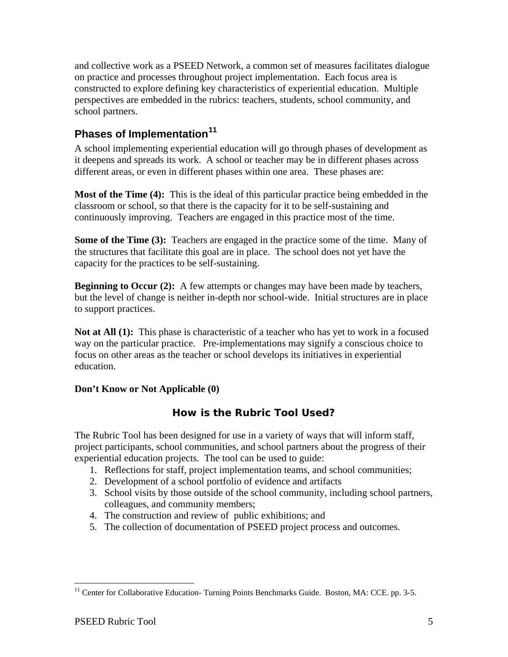and collective work as a PSEED Network, a common set of measures facilitates dialogue on practice and processes throughout project implementation. Each focus area is constructed to explore defining key characteristics of experiential education. Multiple perspectives are embedded in the rubrics: teachers, students, school community, and school partners.

# **Phases of Implementation[11](#page-4-0)**

A school implementing experiential education will go through phases of development as it deepens and spreads its work. A school or teacher may be in different phases across different areas, or even in different phases within one area. These phases are:

**Most of the Time (4):** This is the ideal of this particular practice being embedded in the classroom or school, so that there is the capacity for it to be self-sustaining and continuously improving. Teachers are engaged in this practice most of the time.

**Some of the Time (3):** Teachers are engaged in the practice some of the time. Many of the structures that facilitate this goal are in place. The school does not yet have the capacity for the practices to be self-sustaining.

**Beginning to Occur (2):** A few attempts or changes may have been made by teachers, but the level of change is neither in-depth nor school-wide. Initial structures are in place to support practices.

**Not at All (1):** This phase is characteristic of a teacher who has yet to work in a focused way on the particular practice. Pre-implementations may signify a conscious choice to focus on other areas as the teacher or school develops its initiatives in experiential education.

### **Don't Know or Not Applicable (0)**

# **How is the Rubric Tool Used?**

The Rubric Tool has been designed for use in a variety of ways that will inform staff, project participants, school communities, and school partners about the progress of their experiential education projects. The tool can be used to guide:

- 1. Reflections for staff, project implementation teams, and school communities;
- 2. Development of a school portfolio of evidence and artifacts
- 3. School visits by those outside of the school community, including school partners, colleagues, and community members;
- 4. The construction and review of public exhibitions; and
- 5. The collection of documentation of PSEED project process and outcomes.

 $\overline{a}$ 

<span id="page-4-0"></span><sup>&</sup>lt;sup>11</sup> Center for Collaborative Education- Turning Points Benchmarks Guide. Boston, MA: CCE. pp. 3-5.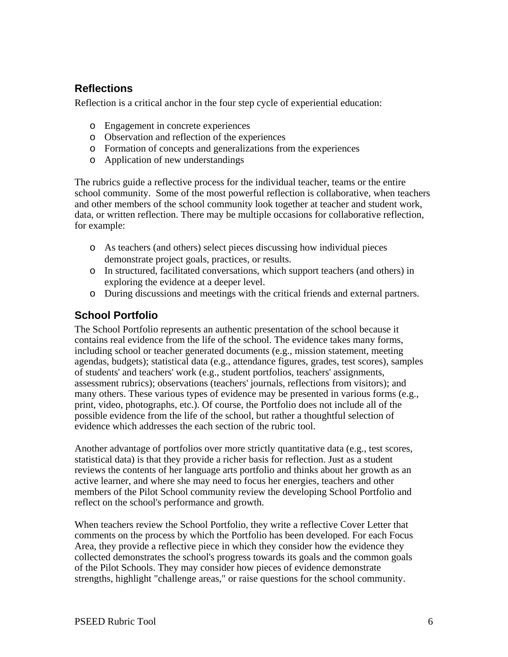# **Reflections**

Reflection is a critical anchor in the four step cycle of experiential education:

- o Engagement in concrete experiences
- o Observation and reflection of the experiences
- o Formation of concepts and generalizations from the experiences
- o Application of new understandings

The rubrics guide a reflective process for the individual teacher, teams or the entire school community. Some of the most powerful reflection is collaborative, when teachers and other members of the school community look together at teacher and student work, data, or written reflection. There may be multiple occasions for collaborative reflection, for example:

- o As teachers (and others) select pieces discussing how individual pieces demonstrate project goals, practices, or results.
- o In structured, facilitated conversations, which support teachers (and others) in exploring the evidence at a deeper level.
- o During discussions and meetings with the critical friends and external partners.

# **School Portfolio**

The School Portfolio represents an authentic presentation of the school because it contains real evidence from the life of the school. The evidence takes many forms, including school or teacher generated documents (e.g., mission statement, meeting agendas, budgets); statistical data (e.g., attendance figures, grades, test scores), samples of students' and teachers' work (e.g., student portfolios, teachers' assignments, assessment rubrics); observations (teachers' journals, reflections from visitors); and many others. These various types of evidence may be presented in various forms (e.g., print, video, photographs, etc.). Of course, the Portfolio does not include all of the possible evidence from the life of the school, but rather a thoughtful selection of evidence which addresses the each section of the rubric tool.

Another advantage of portfolios over more strictly quantitative data (e.g., test scores, statistical data) is that they provide a richer basis for reflection. Just as a student reviews the contents of her language arts portfolio and thinks about her growth as an active learner, and where she may need to focus her energies, teachers and other members of the Pilot School community review the developing School Portfolio and reflect on the school's performance and growth.

When teachers review the School Portfolio, they write a reflective Cover Letter that comments on the process by which the Portfolio has been developed. For each Focus Area, they provide a reflective piece in which they consider how the evidence they collected demonstrates the school's progress towards its goals and the common goals of the Pilot Schools. They may consider how pieces of evidence demonstrate strengths, highlight "challenge areas," or raise questions for the school community.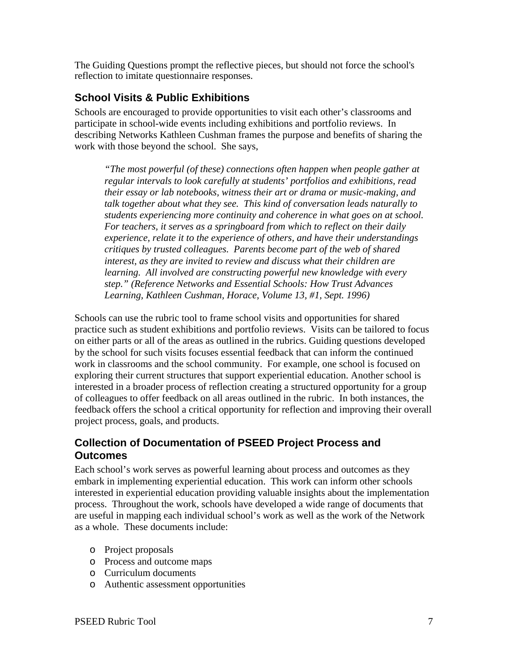The Guiding Questions prompt the reflective pieces, but should not force the school's reflection to imitate questionnaire responses.

# **School Visits & Public Exhibitions**

Schools are encouraged to provide opportunities to visit each other's classrooms and participate in school-wide events including exhibitions and portfolio reviews. In describing Networks Kathleen Cushman frames the purpose and benefits of sharing the work with those beyond the school. She says,

*"The most powerful (of these) connections often happen when people gather at regular intervals to look carefully at students' portfolios and exhibitions, read their essay or lab notebooks, witness their art or drama or music-making, and talk together about what they see. This kind of conversation leads naturally to students experiencing more continuity and coherence in what goes on at school. For teachers, it serves as a springboard from which to reflect on their daily experience, relate it to the experience of others, and have their understandings critiques by trusted colleagues. Parents become part of the web of shared interest, as they are invited to review and discuss what their children are learning. All involved are constructing powerful new knowledge with every step." (Reference Networks and Essential Schools: How Trust Advances Learning, Kathleen Cushman, Horace, Volume 13, #1, Sept. 1996)* 

Schools can use the rubric tool to frame school visits and opportunities for shared practice such as student exhibitions and portfolio reviews. Visits can be tailored to focus on either parts or all of the areas as outlined in the rubrics. Guiding questions developed by the school for such visits focuses essential feedback that can inform the continued work in classrooms and the school community. For example, one school is focused on exploring their current structures that support experiential education. Another school is interested in a broader process of reflection creating a structured opportunity for a group of colleagues to offer feedback on all areas outlined in the rubric. In both instances, the feedback offers the school a critical opportunity for reflection and improving their overall project process, goals, and products.

# **Collection of Documentation of PSEED Project Process and Outcomes**

Each school's work serves as powerful learning about process and outcomes as they embark in implementing experiential education. This work can inform other schools interested in experiential education providing valuable insights about the implementation process. Throughout the work, schools have developed a wide range of documents that are useful in mapping each individual school's work as well as the work of the Network as a whole. These documents include:

- o Project proposals
- o Process and outcome maps
- o Curriculum documents
- o Authentic assessment opportunities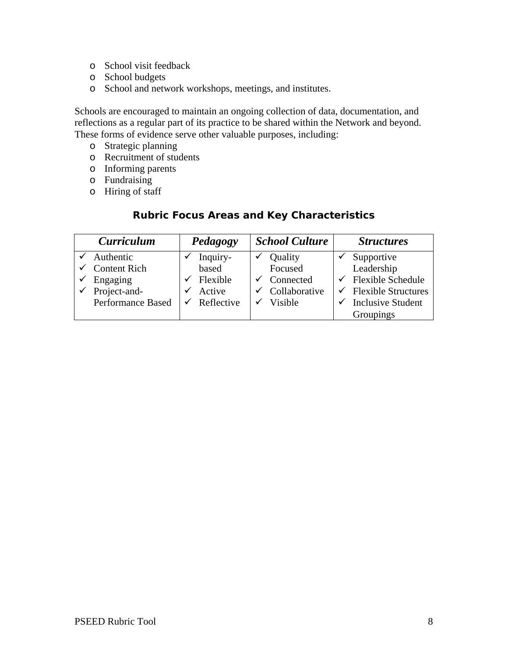- o School visit feedback
- o School budgets
- o School and network workshops, meetings, and institutes.

Schools are encouraged to maintain an ongoing collection of data, documentation, and reflections as a regular part of its practice to be shared within the Network and beyond. These forms of evidence serve other valuable purposes, including:

- o Strategic planning
- o Recruitment of students
- o Informing parents
- o Fundraising
- o Hiring of staff

### **Rubric Focus Areas and Key Characteristics**

| <b>Curriculum</b>        | Pedagogy   | <b>School Culture</b> | <b>Structures</b>               |  |
|--------------------------|------------|-----------------------|---------------------------------|--|
| Authentic                | Inquiry-   | Quality               | Supportive                      |  |
| <b>Content Rich</b>      | based      | Focused               | Leadership                      |  |
| Engaging                 | Flexible   | Connected             | <b>Flexible Schedule</b>        |  |
| Project-and-             | Active     | Collaborative         | <b>Flexible Structures</b><br>✔ |  |
| <b>Performance Based</b> | Reflective | <b>Visible</b>        | <b>Inclusive Student</b>        |  |
|                          |            |                       | Groupings                       |  |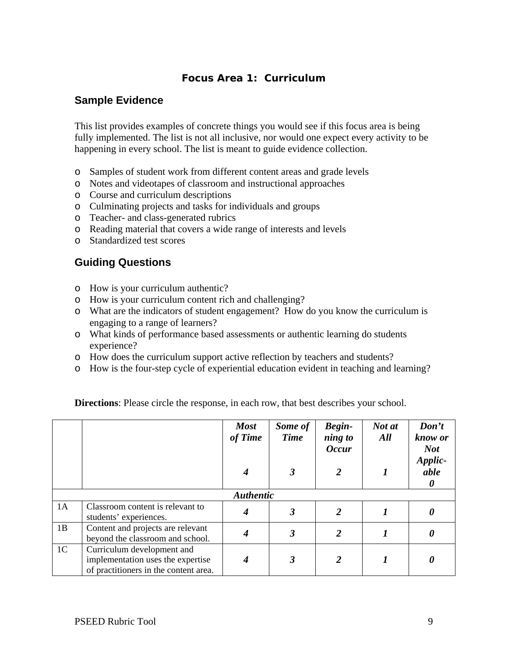# **Focus Area 1: Curriculum**

### **Sample Evidence**

This list provides examples of concrete things you would see if this focus area is being fully implemented. The list is not all inclusive, nor would one expect every activity to be happening in every school. The list is meant to guide evidence collection.

- o Samples of student work from different content areas and grade levels
- o Notes and videotapes of classroom and instructional approaches
- o Course and curriculum descriptions
- o Culminating projects and tasks for individuals and groups
- o Teacher- and class-generated rubrics
- o Reading material that covers a wide range of interests and levels
- o Standardized test scores

### **Guiding Questions**

- o How is your curriculum authentic?
- o How is your curriculum content rich and challenging?
- o What are the indicators of student engagement? How do you know the curriculum is engaging to a range of learners?
- o What kinds of performance based assessments or authentic learning do students experience?
- o How does the curriculum support active reflection by teachers and students?
- o How is the four-step cycle of experiential education evident in teaching and learning?

|                |                                                                                                          | <b>Most</b><br>of Time | Some of<br><b>Time</b><br>3 | <b>Begin-</b><br>ning to<br><b>Occur</b> | Not at<br>All | Don't<br>know or<br><b>Not</b><br>Applic-<br>able |
|----------------|----------------------------------------------------------------------------------------------------------|------------------------|-----------------------------|------------------------------------------|---------------|---------------------------------------------------|
|                |                                                                                                          |                        |                             |                                          |               | $\boldsymbol{\theta}$                             |
|                |                                                                                                          | <b>Authentic</b>       |                             |                                          |               |                                                   |
| 1A             | Classroom content is relevant to<br>students' experiences.                                               |                        | $\boldsymbol{\beta}$        | 2                                        |               |                                                   |
| 1B             | Content and projects are relevant<br>beyond the classroom and school.                                    |                        | 3                           | $\overline{2}$                           |               |                                                   |
| 1 <sup>C</sup> | Curriculum development and<br>implementation uses the expertise<br>of practitioners in the content area. |                        | 3                           |                                          |               |                                                   |

**Directions**: Please circle the response, in each row, that best describes your school.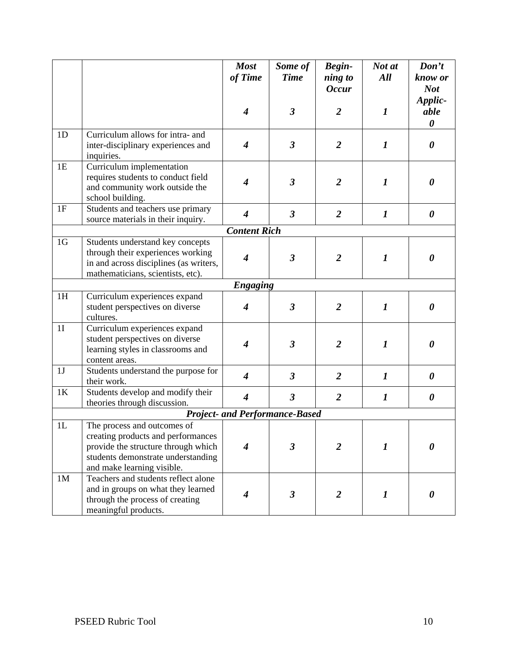|                |                                                                                                                                                                              | <b>Most</b><br>of Time      | Some of<br><b>Time</b>                | <b>Begin-</b><br>ning to<br><b>Occur</b> | Not at<br>All    | Don't<br>know or<br><b>Not</b>           |
|----------------|------------------------------------------------------------------------------------------------------------------------------------------------------------------------------|-----------------------------|---------------------------------------|------------------------------------------|------------------|------------------------------------------|
|                |                                                                                                                                                                              | $\boldsymbol{4}$            | $\boldsymbol{\beta}$                  | $\overline{2}$                           | $\boldsymbol{l}$ | Applic-<br>able<br>$\boldsymbol{\theta}$ |
| 1D             | Curriculum allows for intra- and<br>inter-disciplinary experiences and<br>inquiries.                                                                                         | $\overline{\boldsymbol{4}}$ | $\boldsymbol{\beta}$                  | $\overline{2}$                           | $\boldsymbol{l}$ | 0                                        |
| 1E             | Curriculum implementation<br>requires students to conduct field<br>and community work outside the<br>school building.                                                        | $\overline{\boldsymbol{4}}$ | $\boldsymbol{\beta}$                  | $\overline{2}$                           | $\boldsymbol{l}$ | 0                                        |
| 1F             | Students and teachers use primary<br>source materials in their inquiry.                                                                                                      | $\overline{\boldsymbol{4}}$ | $\overline{\mathbf{3}}$               | $\overline{2}$                           | $\boldsymbol{l}$ | 0                                        |
|                |                                                                                                                                                                              | <b>Content Rich</b>         |                                       |                                          |                  |                                          |
| 1 <sub>G</sub> | Students understand key concepts<br>through their experiences working<br>in and across disciplines (as writers,<br>mathematicians, scientists, etc).                         | $\boldsymbol{4}$            | $\mathfrak{z}$                        | $\overline{2}$                           | $\boldsymbol{l}$ | 0                                        |
|                |                                                                                                                                                                              | <b>Engaging</b>             |                                       |                                          |                  |                                          |
| 1H             | Curriculum experiences expand<br>student perspectives on diverse<br>cultures.                                                                                                | $\overline{\boldsymbol{4}}$ | $\boldsymbol{\beta}$                  | $\overline{2}$                           | $\boldsymbol{l}$ | 0                                        |
| 1I             | Curriculum experiences expand<br>student perspectives on diverse<br>learning styles in classrooms and<br>content areas.                                                      | $\overline{\boldsymbol{4}}$ | $\boldsymbol{\beta}$                  | $\overline{2}$                           | $\boldsymbol{l}$ | 0                                        |
| 1J             | Students understand the purpose for<br>their work.                                                                                                                           | $\overline{\boldsymbol{4}}$ | $\mathfrak{Z}$                        | $\overline{2}$                           | $\boldsymbol{l}$ | $\boldsymbol{\theta}$                    |
| 1K             | Students develop and modify their<br>theories through discussion.                                                                                                            | $\boldsymbol{4}$            | $\boldsymbol{\beta}$                  | $\overline{2}$                           | $\boldsymbol{l}$ | $\boldsymbol{\theta}$                    |
|                |                                                                                                                                                                              |                             | <b>Project- and Performance-Based</b> |                                          |                  |                                          |
| 1L             | The process and outcomes of<br>creating products and performances<br>provide the structure through which<br>students demonstrate understanding<br>and make learning visible. | 4                           | $\overline{\mathbf{3}}$               | 2                                        | $\boldsymbol{l}$ | 0                                        |
| 1 <sub>M</sub> | Teachers and students reflect alone<br>and in groups on what they learned<br>through the process of creating<br>meaningful products.                                         | 4                           | $\boldsymbol{\beta}$                  | $\overline{2}$                           | $\boldsymbol{l}$ | 0                                        |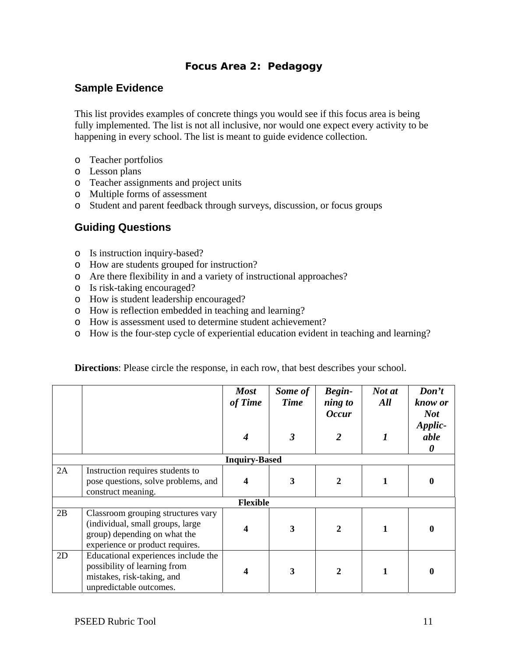# **Focus Area 2: Pedagogy**

# **Sample Evidence**

This list provides examples of concrete things you would see if this focus area is being fully implemented. The list is not all inclusive, nor would one expect every activity to be happening in every school. The list is meant to guide evidence collection.

- o Teacher portfolios
- o Lesson plans
- o Teacher assignments and project units
- o Multiple forms of assessment
- o Student and parent feedback through surveys, discussion, or focus groups

# **Guiding Questions**

- o Is instruction inquiry-based?
- o How are students grouped for instruction?
- o Are there flexibility in and a variety of instructional approaches?
- o Is risk-taking encouraged?
- o How is student leadership encouraged?
- o How is reflection embedded in teaching and learning?
- o How is assessment used to determine student achievement?
- o How is the four-step cycle of experiential education evident in teaching and learning?

|    |                                                                                                                                           | <b>Most</b><br>of Time<br>4 | Some of<br><b>Time</b><br>3 | <b>Begin-</b><br>ning to<br><b>Occur</b><br>$\overline{2}$ | Not at<br>All<br>1 | Don't<br>know or<br><b>Not</b><br>Applic-<br>able<br>0 |  |  |
|----|-------------------------------------------------------------------------------------------------------------------------------------------|-----------------------------|-----------------------------|------------------------------------------------------------|--------------------|--------------------------------------------------------|--|--|
|    | <b>Inquiry-Based</b>                                                                                                                      |                             |                             |                                                            |                    |                                                        |  |  |
| 2A | Instruction requires students to<br>pose questions, solve problems, and<br>construct meaning.                                             | 4                           | 3                           | 2                                                          |                    | 0                                                      |  |  |
|    |                                                                                                                                           | <b>Flexible</b>             |                             |                                                            |                    |                                                        |  |  |
| 2B | Classroom grouping structures vary<br>(individual, small groups, large<br>group) depending on what the<br>experience or product requires. | 4                           | 3                           | $\mathbf{2}$                                               |                    | 0                                                      |  |  |
| 2D | Educational experiences include the<br>possibility of learning from<br>mistakes, risk-taking, and<br>unpredictable outcomes.              | 4                           | 3                           | $\mathbf{2}$                                               |                    | 0                                                      |  |  |

**Directions**: Please circle the response, in each row, that best describes your school.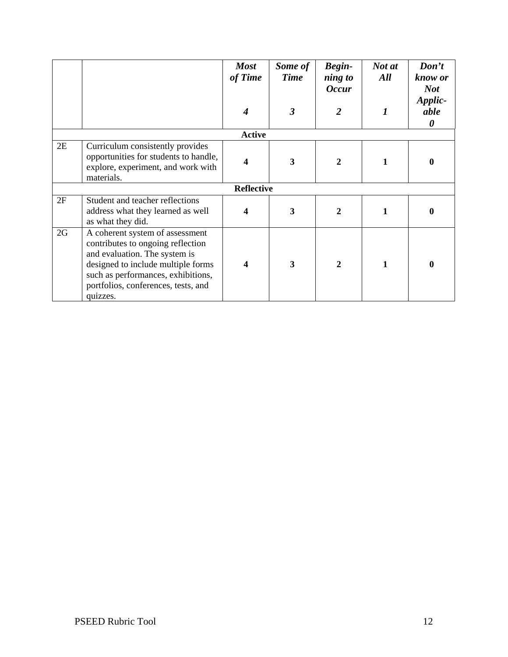|    |                                                                                                                                                                                                                                      | <b>Most</b><br>of Time<br>$\boldsymbol{4}$ | Some of<br><b>Time</b><br>$\overline{\mathbf{3}}$ | <b>Begin-</b><br>ning to<br><b>Occur</b><br>2 | Not at<br>All<br>1 | Don't<br>know or<br><b>Not</b><br>Applic-<br>able<br>$\boldsymbol{\theta}$ |
|----|--------------------------------------------------------------------------------------------------------------------------------------------------------------------------------------------------------------------------------------|--------------------------------------------|---------------------------------------------------|-----------------------------------------------|--------------------|----------------------------------------------------------------------------|
|    |                                                                                                                                                                                                                                      | <b>Active</b>                              |                                                   |                                               |                    |                                                                            |
| 2E | Curriculum consistently provides<br>opportunities for students to handle,<br>explore, experiment, and work with<br>materials.                                                                                                        | 4                                          | 3                                                 | $\mathcal{D}$                                 | 1                  | 0                                                                          |
|    |                                                                                                                                                                                                                                      | <b>Reflective</b>                          |                                                   |                                               |                    |                                                                            |
| 2F | Student and teacher reflections<br>address what they learned as well<br>as what they did.                                                                                                                                            | 4                                          | 3                                                 | $\mathbf{2}$                                  | 1                  | 0                                                                          |
| 2G | A coherent system of assessment<br>contributes to ongoing reflection<br>and evaluation. The system is<br>designed to include multiple forms<br>such as performances, exhibitions,<br>portfolios, conferences, tests, and<br>quizzes. | 4                                          | 3                                                 | $\mathbf{2}$                                  |                    | 0                                                                          |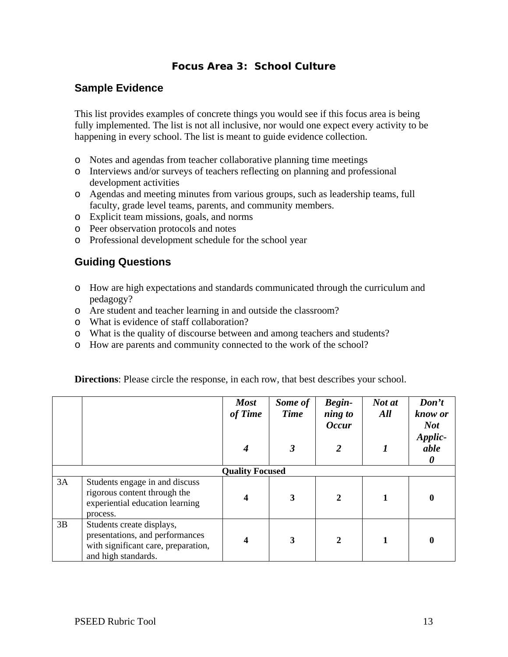# **Focus Area 3: School Culture**

# **Sample Evidence**

This list provides examples of concrete things you would see if this focus area is being fully implemented. The list is not all inclusive, nor would one expect every activity to be happening in every school. The list is meant to guide evidence collection.

- o Notes and agendas from teacher collaborative planning time meetings
- o Interviews and/or surveys of teachers reflecting on planning and professional development activities
- o Agendas and meeting minutes from various groups, such as leadership teams, full faculty, grade level teams, parents, and community members.
- o Explicit team missions, goals, and norms
- o Peer observation protocols and notes
- o Professional development schedule for the school year

# **Guiding Questions**

- o How are high expectations and standards communicated through the curriculum and pedagogy?
- o Are student and teacher learning in and outside the classroom?
- o What is evidence of staff collaboration?
- o What is the quality of discourse between and among teachers and students?
- o How are parents and community connected to the work of the school?

| <b>Directions:</b> Please circle the response, in each row, that best describes your school. |  |  |  |
|----------------------------------------------------------------------------------------------|--|--|--|
|                                                                                              |  |  |  |

|    |                                                                                                                            | <b>Most</b><br>of Time | Some of<br><b>Time</b> | <b>Begin-</b><br>ning to<br><b>Occur</b> | Not at<br>All | Don't<br>know or<br><b>Not</b> |
|----|----------------------------------------------------------------------------------------------------------------------------|------------------------|------------------------|------------------------------------------|---------------|--------------------------------|
|    |                                                                                                                            |                        | 3                      | $\overline{2}$                           |               | Applic-<br>able<br>0           |
|    |                                                                                                                            | <b>Quality Focused</b> |                        |                                          |               |                                |
| 3A | Students engage in and discuss<br>rigorous content through the<br>experiential education learning<br>process.              |                        | $\mathbf{3}$           |                                          |               |                                |
| 3B | Students create displays,<br>presentations, and performances<br>with significant care, preparation,<br>and high standards. |                        | 3                      | $\mathbf{2}$                             |               |                                |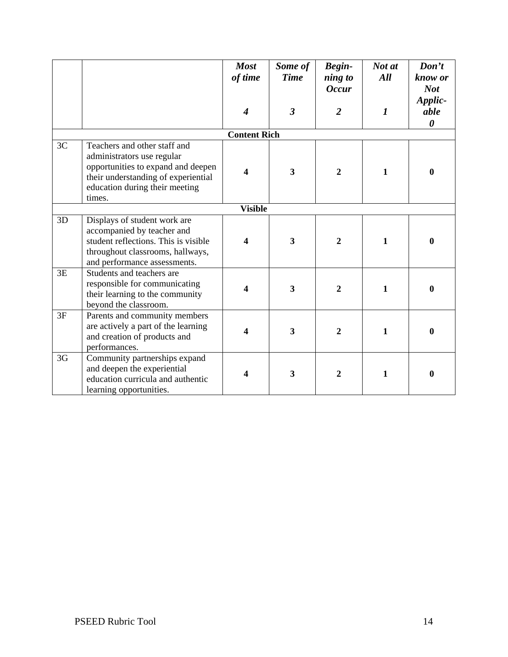|    |                                                                                                                                                                                     | <b>Most</b><br>of time<br>4 | Some of<br><b>Time</b><br>$\overline{3}$ | Begin-<br>ning to<br><b>Occur</b><br>$\overline{2}$ | Not at<br>All<br>$\boldsymbol{l}$ | Don't<br>know or<br><b>Not</b><br>Applic-<br>able<br>$\boldsymbol{\theta}$ |
|----|-------------------------------------------------------------------------------------------------------------------------------------------------------------------------------------|-----------------------------|------------------------------------------|-----------------------------------------------------|-----------------------------------|----------------------------------------------------------------------------|
|    |                                                                                                                                                                                     | <b>Content Rich</b>         |                                          |                                                     |                                   |                                                                            |
| 3C | Teachers and other staff and<br>administrators use regular<br>opportunities to expand and deepen<br>their understanding of experiential<br>education during their meeting<br>times. | 4                           | $\overline{\mathbf{3}}$                  | $\overline{2}$                                      | 1                                 | $\boldsymbol{0}$                                                           |
|    |                                                                                                                                                                                     | <b>Visible</b>              |                                          |                                                     |                                   |                                                                            |
| 3D | Displays of student work are<br>accompanied by teacher and<br>student reflections. This is visible<br>throughout classrooms, hallways,<br>and performance assessments.              | 4                           | 3                                        | $\overline{2}$                                      | 1                                 | $\boldsymbol{0}$                                                           |
| 3E | Students and teachers are<br>responsible for communicating<br>their learning to the community<br>beyond the classroom.                                                              | 4                           | $\mathbf{3}$                             | $\overline{2}$                                      | 1                                 | $\boldsymbol{0}$                                                           |
| 3F | Parents and community members<br>are actively a part of the learning<br>and creation of products and<br>performances.                                                               | 4                           | $\overline{\mathbf{3}}$                  | $\overline{2}$                                      | $\mathbf{1}$                      | $\boldsymbol{0}$                                                           |
| 3G | Community partnerships expand<br>and deepen the experiential<br>education curricula and authentic<br>learning opportunities.                                                        | 4                           | 3                                        | $\mathbf{2}$                                        | $\mathbf{1}$                      | $\boldsymbol{0}$                                                           |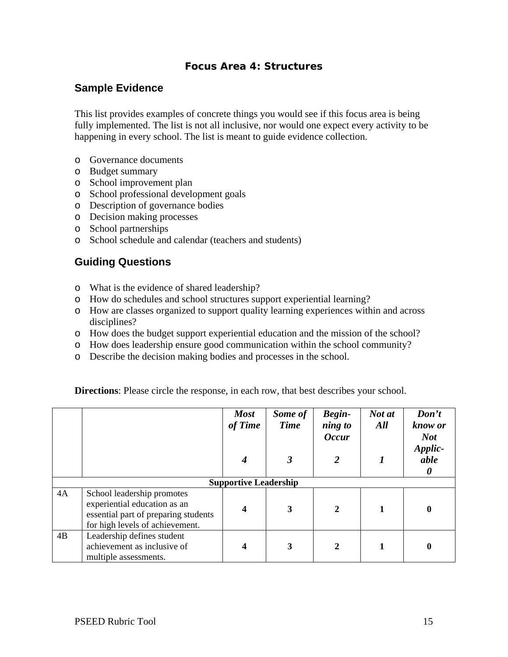### **Focus Area 4: Structures**

# **Sample Evidence**

This list provides examples of concrete things you would see if this focus area is being fully implemented. The list is not all inclusive, nor would one expect every activity to be happening in every school. The list is meant to guide evidence collection.

- o Governance documents
- o Budget summary
- o School improvement plan
- o School professional development goals
- o Description of governance bodies
- o Decision making processes
- o School partnerships
- o School schedule and calendar (teachers and students)

# **Guiding Questions**

- o What is the evidence of shared leadership?
- o How do schedules and school structures support experiential learning?
- o How are classes organized to support quality learning experiences within and across disciplines?
- o How does the budget support experiential education and the mission of the school?
- o How does leadership ensure good communication within the school community?
- o Describe the decision making bodies and processes in the school.

|    |                                                                                                                                       | <b>Most</b><br>of Time | Some of<br><b>Time</b> | Begin-<br>ning to | Not at<br>All | Don't<br>know or     |  |  |
|----|---------------------------------------------------------------------------------------------------------------------------------------|------------------------|------------------------|-------------------|---------------|----------------------|--|--|
|    |                                                                                                                                       |                        |                        | <b>Occur</b>      |               | <b>Not</b>           |  |  |
|    |                                                                                                                                       |                        | 3                      | 2                 |               | Applic-<br>able<br>0 |  |  |
|    | <b>Supportive Leadership</b>                                                                                                          |                        |                        |                   |               |                      |  |  |
| 4A | School leadership promotes<br>experiential education as an<br>essential part of preparing students<br>for high levels of achievement. |                        | 3                      | $\mathbf{2}$      |               | $\mathbf{0}$         |  |  |
| 4B | Leadership defines student<br>achievement as inclusive of<br>multiple assessments.                                                    |                        | 3                      | $\mathbf{2}$      |               | 0                    |  |  |

**Directions**: Please circle the response, in each row, that best describes your school.